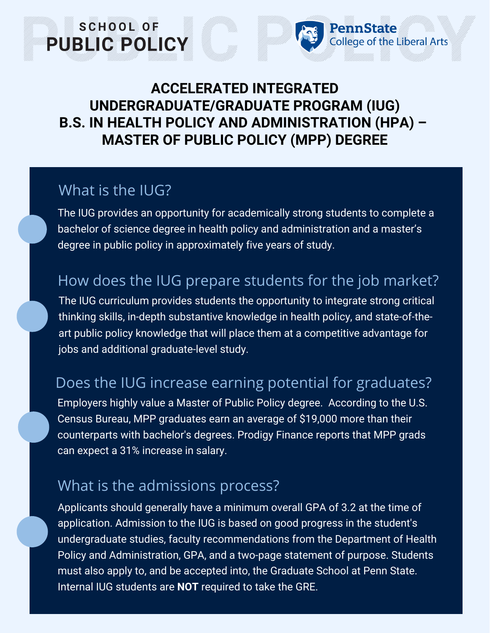## **ACCELERATED INTEGRATED UNDERGRADUATE/GRADUATE PROGRAM (IUG) B.S. IN HEALTH POLICY AND ADMINISTRATION (HPA) – MASTER OF PUBLIC POLICY (MPP) DEGREE**

PennState

College of the Liberal Arts

#### What is the IUG?

SCHOOL OF

PUBLIC POLICY

The IUG provides an opportunity for academically strong students to complete a bachelor of science degree in health policy and administration and a master's degree in public policy in approximately five years of study.

# How does the IUG prepare students for the job market?

The IUG curriculum provides students the opportunity to integrate strong critical thinking skills, in-depth substantive knowledge in health policy, and state-of-theart public policy knowledge that will place them at a competitive advantage for jobs and additional graduate-level study.

## Does the IUG increase earning potential for graduates?

Employers highly value a Master of Public Policy degree. According to the U.S. Census Bureau, MPP graduates earn an average of \$19,000 more than their counterparts with bachelor's degrees. Prodigy Finance reports that MPP grads can expect a 31% increase in salary.

## What is the admissions process?

Applicants should generally have a minimum overall GPA of 3.2 at the time of application. Admission to the IUG is based on good progress in the student's undergraduate studies, faculty recommendations from the Department of Health Policy and Administration, GPA, and a two-page statement of purpose. Students must also apply to, and be accepted into, the Graduate School at Penn State. Internal IUG students are **NOT** required to take the GRE.